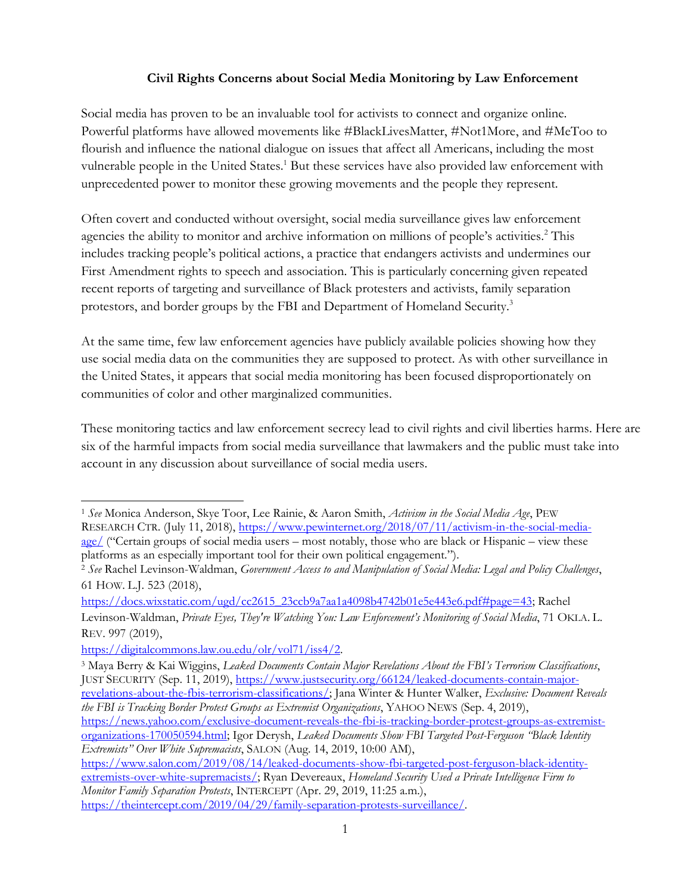#### **Civil Rights Concerns about Social Media Monitoring by Law Enforcement**

Social media has proven to be an invaluable tool for activists to connect and organize online. Powerful platforms have allowed movements like #BlackLivesMatter, #Not1More, and #MeToo to flourish and influence the national dialogue on issues that affect all Americans, including the most vulnerable people in the United States.<sup>1</sup> But these services have also provided law enforcement with unprecedented power to monitor these growing movements and the people they represent.

Often covert and conducted without oversight, social media surveillance gives law enforcement agencies the ability to monitor and archive information on millions of people's activities.<sup>2</sup> This includes tracking people's political actions, a practice that endangers activists and undermines our First Amendment rights to speech and association. This is particularly concerning given repeated recent reports of targeting and surveillance of Black protesters and activists, family separation protestors, and border groups by the FBI and Department of Homeland Security.<sup>3</sup>

At the same time, few law enforcement agencies have publicly available policies showing how they use social media data on the communities they are supposed to protect. As with other surveillance in the United States, it appears that social media monitoring has been focused disproportionately on communities of color and other marginalized communities.

These monitoring tactics and law enforcement secrecy lead to civil rights and civil liberties harms. Here are six of the harmful impacts from social media surveillance that lawmakers and the public must take into account in any discussion about surveillance of social media users.

[https://docs.wixstatic.com/ugd/cc2615\\_23ccb9a7aa1a4098b4742b01e5e443e6.pdf#page=43;](https://docs.wixstatic.com/ugd/cc2615_23ccb9a7aa1a4098b4742b01e5e443e6.pdf#page=43) Rachel Levinson-Waldman, *Private Eyes, They're Watching You: Law Enforcement's Monitoring of Social Media*, 71 OKLA. L. REV. 997 (2019),

[https://digitalcommons.law.ou.edu/olr/vol71/iss4/2.](https://digitalcommons.law.ou.edu/olr/vol71/iss4/2)

<sup>1</sup> *See* Monica Anderson, Skye Toor, Lee Rainie, & Aaron Smith, *Activism in the Social Media Age*, PEW RESEARCH CTR. (July 11, 2018), [https://www.pewinternet.org/2018/07/11/activism-in-the-social-media](https://www.pewinternet.org/2018/07/11/activism-in-the-social-media-age/)[age/](https://www.pewinternet.org/2018/07/11/activism-in-the-social-media-age/) ("Certain groups of social media users – most notably, those who are black or Hispanic – view these platforms as an especially important tool for their own political engagement.").

<sup>2</sup> *See* Rachel Levinson-Waldman, *Government Access to and Manipulation of Social Media: Legal and Policy Challenges*, 61 HOW. L.J. 523 (2018),

<sup>3</sup> Maya Berry & Kai Wiggins, *Leaked Documents Contain Major Revelations About the FBI's Terrorism Classifications*, JUST SECURITY (Sep. 11, 2019)[, https://www.justsecurity.org/66124/leaked-documents-contain-major](https://www.justsecurity.org/66124/leaked-documents-contain-major-revelations-about-the-fbis-terrorism-classifications/)[revelations-about-the-fbis-terrorism-classifications/;](https://www.justsecurity.org/66124/leaked-documents-contain-major-revelations-about-the-fbis-terrorism-classifications/) Jana Winter & Hunter Walker, *Exclusive: Document Reveals the FBI is Tracking Border Protest Groups as Extremist Organizations*, YAHOO NEWS (Sep. 4, 2019), [https://news.yahoo.com/exclusive-document-reveals-the-fbi-is-tracking-border-protest-groups-as-extremist-](https://news.yahoo.com/exclusive-document-reveals-the-fbi-is-tracking-border-protest-groups-as-extremist-organizations-170050594.html)

[organizations-170050594.html;](https://news.yahoo.com/exclusive-document-reveals-the-fbi-is-tracking-border-protest-groups-as-extremist-organizations-170050594.html) Igor Derysh, *Leaked Documents Show FBI Targeted Post-Ferguson "Black Identity Extremists" Over White Supremacists*, SALON (Aug. 14, 2019, 10:00 AM),

[https://www.salon.com/2019/08/14/leaked-documents-show-fbi-targeted-post-ferguson-black-identity](https://www.salon.com/2019/08/14/leaked-documents-show-fbi-targeted-post-ferguson-black-identity-extremists-over-white-supremacists/)[extremists-over-white-supremacists/;](https://www.salon.com/2019/08/14/leaked-documents-show-fbi-targeted-post-ferguson-black-identity-extremists-over-white-supremacists/) Ryan Devereaux, *Homeland Security Used a Private Intelligence Firm to Monitor Family Separation Protests*, INTERCEPT (Apr. 29, 2019, 11:25 a.m.), [https://theintercept.com/2019/04/29/family-separation-protests-surveillance/.](https://theintercept.com/2019/04/29/family-separation-protests-surveillance/)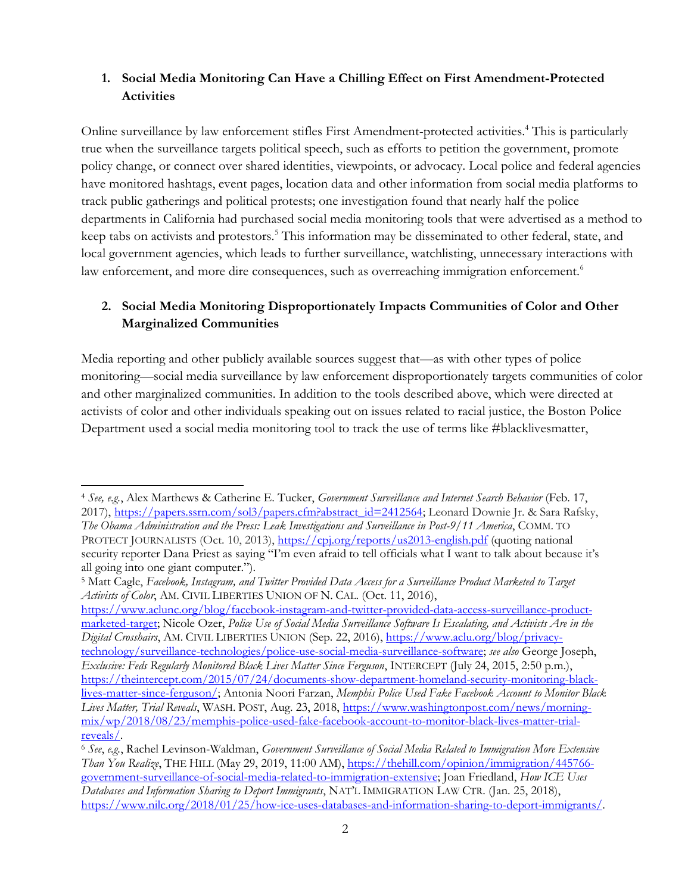#### **1. Social Media Monitoring Can Have a Chilling Effect on First Amendment-Protected Activities**

Online surveillance by law enforcement stifles First Amendment-protected activities.<sup>4</sup> This is particularly true when the surveillance targets political speech, such as efforts to petition the government, promote policy change, or connect over shared identities, viewpoints, or advocacy. Local police and federal agencies have monitored hashtags, event pages, location data and other information from social media platforms to track public gatherings and political protests; one investigation found that nearly half the police departments in California had purchased social media monitoring tools that were advertised as a method to keep tabs on activists and protestors.<sup>5</sup> This information may be disseminated to other federal, state, and local government agencies, which leads to further surveillance, watchlisting, unnecessary interactions with law enforcement, and more dire consequences, such as overreaching immigration enforcement.<sup>6</sup>

# **2. Social Media Monitoring Disproportionately Impacts Communities of Color and Other Marginalized Communities**

Media reporting and other publicly available sources suggest that—as with other types of police monitoring—social media surveillance by law enforcement disproportionately targets communities of color and other marginalized communities. In addition to the tools described above, which were directed at activists of color and other individuals speaking out on issues related to racial justice, the Boston Police Department used a social media monitoring tool to track the use of terms like #blacklivesmatter,

[https://www.aclunc.org/blog/facebook-instagram-and-twitter-provided-data-access-surveillance-product](https://www.aclunc.org/blog/facebook-instagram-and-twitter-provided-data-access-surveillance-product-marketed-target)[marketed-target;](https://www.aclunc.org/blog/facebook-instagram-and-twitter-provided-data-access-surveillance-product-marketed-target) Nicole Ozer, *Police Use of Social Media Surveillance Software Is Escalating, and Activists Are in the Digital Crosshairs*, AM. CIVIL LIBERTIES UNION (Sep. 22, 2016), [https://www.aclu.org/blog/privacy](https://www.aclu.org/blog/privacy-technology/surveillance-technologies/police-use-social-media-surveillance-software)[technology/surveillance-technologies/police-use-social-media-surveillance-software;](https://www.aclu.org/blog/privacy-technology/surveillance-technologies/police-use-social-media-surveillance-software) *see also* George Joseph, *Exclusive: Feds Regularly Monitored Black Lives Matter Since Ferguson*, INTERCEPT (July 24, 2015, 2:50 p.m.), [https://theintercept.com/2015/07/24/documents-show-department-homeland-security-monitoring-black](https://theintercept.com/2015/07/24/documents-show-department-homeland-security-monitoring-black-lives-matter-since-ferguson/)[lives-matter-since-ferguson/;](https://theintercept.com/2015/07/24/documents-show-department-homeland-security-monitoring-black-lives-matter-since-ferguson/) Antonia Noori Farzan, *Memphis Police Used Fake Facebook Account to Monitor Black Lives Matter, Trial Reveals*, WASH. POST, Aug. 23, 2018, [https://www.washingtonpost.com/news/morning](https://www.washingtonpost.com/news/morning-mix/wp/2018/08/23/memphis-police-used-fake-facebook-account-to-monitor-black-lives-matter-trial-reveals/)[mix/wp/2018/08/23/memphis-police-used-fake-facebook-account-to-monitor-black-lives-matter-trial](https://www.washingtonpost.com/news/morning-mix/wp/2018/08/23/memphis-police-used-fake-facebook-account-to-monitor-black-lives-matter-trial-reveals/)[reveals/.](https://www.washingtonpost.com/news/morning-mix/wp/2018/08/23/memphis-police-used-fake-facebook-account-to-monitor-black-lives-matter-trial-reveals/) 

<sup>4</sup> *See, e.g.*, Alex Marthews & Catherine E. Tucker, *Government Surveillance and Internet Search Behavior* (Feb. 17, 2017), [https://papers.ssrn.com/sol3/papers.cfm?abstract\\_id=2412564;](https://papers.ssrn.com/sol3/papers.cfm?abstract_id=2412564) Leonard Downie Jr. & Sara Rafsky, *The Obama Administration and the Press: Leak Investigations and Surveillance in Post-9/11 America*, COMM. TO PROTECT JOURNALISTS (Oct. 10, 2013), <https://cpj.org/reports/us2013-english.pdf> (quoting national security reporter Dana Priest as saying "I'm even afraid to tell officials what I want to talk about because it's all going into one giant computer.").

<sup>5</sup> Matt Cagle, *Facebook, Instagram, and Twitter Provided Data Access for a Surveillance Product Marketed to Target Activists of Color*, AM. CIVIL LIBERTIES UNION OF N. CAL. (Oct. 11, 2016),

<sup>6</sup> *See*, *e.g.*, Rachel Levinson-Waldman, *Government Surveillance of Social Media Related to Immigration More Extensive Than You Realize*, THE HILL (May 29, 2019, 11:00 AM), [https://thehill.com/opinion/immigration/445766](https://thehill.com/opinion/immigration/445766-government-surveillance-of-social-media-related-to-immigration-extensive) [government-surveillance-of-social-media-related-to-immigration-extensive;](https://thehill.com/opinion/immigration/445766-government-surveillance-of-social-media-related-to-immigration-extensive) Joan Friedland, *How ICE Uses Databases and Information Sharing to Deport Immigrants*, NAT'L IMMIGRATION LAW CTR. (Jan. 25, 2018), [https://www.nilc.org/2018/01/25/how-ice-uses-databases-and-information-sharing-to-deport-immigrants/.](https://www.nilc.org/2018/01/25/how-ice-uses-databases-and-information-sharing-to-deport-immigrants/)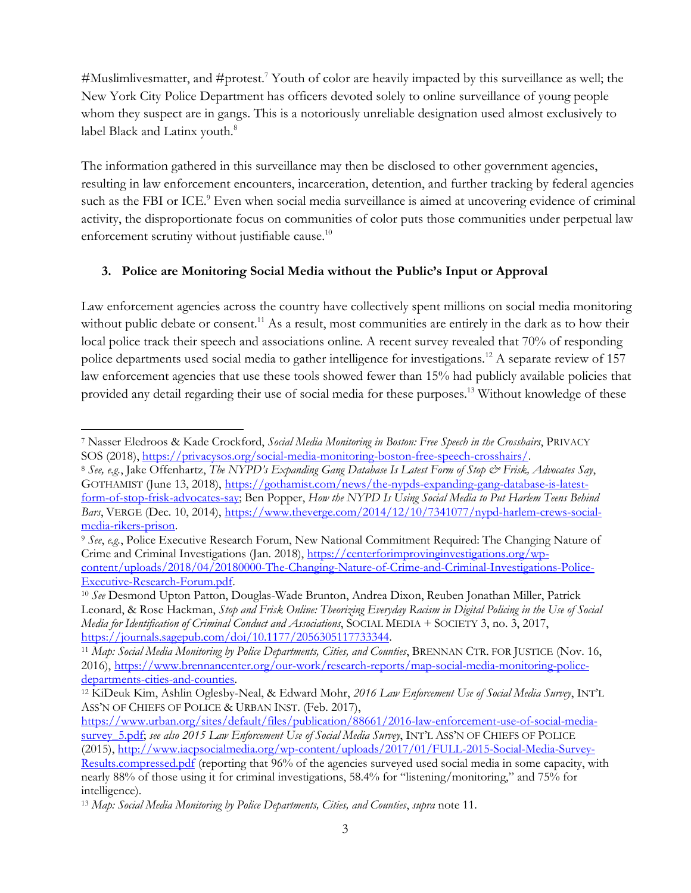#Muslimlivesmatter, and  $#$ protest.<sup>7</sup> Youth of color are heavily impacted by this surveillance as well; the New York City Police Department has officers devoted solely to online surveillance of young people whom they suspect are in gangs. This is a notoriously unreliable designation used almost exclusively to label Black and Latinx youth.<sup>8</sup>

The information gathered in this surveillance may then be disclosed to other government agencies, resulting in law enforcement encounters, incarceration, detention, and further tracking by federal agencies such as the FBI or ICE.<sup>9</sup> Even when social media surveillance is aimed at uncovering evidence of criminal activity, the disproportionate focus on communities of color puts those communities under perpetual law enforcement scrutiny without justifiable cause.<sup>10</sup>

## **3. Police are Monitoring Social Media without the Public's Input or Approval**

Law enforcement agencies across the country have collectively spent millions on social media monitoring without public debate or consent.<sup>11</sup> As a result, most communities are entirely in the dark as to how their local police track their speech and associations online. A recent survey revealed that 70% of responding police departments used social media to gather intelligence for investigations.<sup>12</sup> A separate review of 157 law enforcement agencies that use these tools showed fewer than 15% had publicly available policies that provided any detail regarding their use of social media for these purposes.<sup>13</sup> Without knowledge of these

<sup>7</sup> Nasser Eledroos & Kade Crockford, *Social Media Monitoring in Boston: Free Speech in the Crosshairs*, PRIVACY SOS (2018), [https://privacysos.org/social-media-monitoring-boston-free-speech-crosshairs/.](https://privacysos.org/social-media-monitoring-boston-free-speech-crosshairs/)

<sup>8</sup> *See, e.g.*, Jake Offenhartz, *The NYPD's Expanding Gang Database Is Latest Form of Stop & Frisk, Advocates Say*, GOTHAMIST (June 13, 2018), [https://gothamist.com/news/the-nypds-expanding-gang-database-is-latest](https://gothamist.com/news/the-nypds-expanding-gang-database-is-latest-form-of-stop-frisk-advocates-say)[form-of-stop-frisk-advocates-say;](https://gothamist.com/news/the-nypds-expanding-gang-database-is-latest-form-of-stop-frisk-advocates-say) Ben Popper, *How the NYPD Is Using Social Media to Put Harlem Teens Behind Bars*, VERGE (Dec. 10, 2014), [https://www.theverge.com/2014/12/10/7341077/nypd-harlem-crews-social](https://www.theverge.com/2014/12/10/7341077/nypd-harlem-crews-social-media-rikers-prison)[media-rikers-prison.](https://www.theverge.com/2014/12/10/7341077/nypd-harlem-crews-social-media-rikers-prison)

<sup>9</sup> *See*, *e.g.*, Police Executive Research Forum, New National Commitment Required: The Changing Nature of Crime and Criminal Investigations (Jan. 2018), [https://centerforimprovinginvestigations.org/wp](https://centerforimprovinginvestigations.org/wp-content/uploads/2018/04/20180000-The-Changing-Nature-of-Crime-and-Criminal-Investigations-Police-Executive-Research-Forum.pdf)[content/uploads/2018/04/20180000-The-Changing-Nature-of-Crime-and-Criminal-Investigations-Police-](https://centerforimprovinginvestigations.org/wp-content/uploads/2018/04/20180000-The-Changing-Nature-of-Crime-and-Criminal-Investigations-Police-Executive-Research-Forum.pdf)[Executive-Research-Forum.pdf.](https://centerforimprovinginvestigations.org/wp-content/uploads/2018/04/20180000-The-Changing-Nature-of-Crime-and-Criminal-Investigations-Police-Executive-Research-Forum.pdf)

<sup>10</sup> *See* Desmond Upton Patton, Douglas-Wade Brunton, Andrea Dixon, Reuben Jonathan Miller, Patrick Leonard, & Rose Hackman, *Stop and Frisk Online: Theorizing Everyday Racism in Digital Policing in the Use of Social Media for Identification of Criminal Conduct and Associations*, SOCIAL MEDIA + SOCIETY 3, no. 3, 2017, [https://journals.sagepub.com/doi/10.1177/2056305117733344.](https://journals.sagepub.com/doi/10.1177/2056305117733344)

<sup>&</sup>lt;sup>11</sup> Map: Social Media Monitoring by Police Departments, Cities, and Counties, BRENNAN CTR. FOR JUSTICE (Nov. 16, 2016), [https://www.brennancenter.org/our-work/research-reports/map-social-media-monitoring-police](https://www.brennancenter.org/our-work/research-reports/map-social-media-monitoring-police-departments-cities-and-counties)[departments-cities-and-counties.](https://www.brennancenter.org/our-work/research-reports/map-social-media-monitoring-police-departments-cities-and-counties)

<sup>12</sup> KiDeuk Kim, Ashlin Oglesby-Neal, & Edward Mohr, *2016 Law Enforcement Use of Social Media Survey*, INT'L ASS'N OF CHIEFS OF POLICE & URBAN INST. (Feb. 2017),

[https://www.urban.org/sites/default/files/publication/88661/2016-law-enforcement-use-of-social-media](https://www.urban.org/sites/default/files/publication/88661/2016-law-enforcement-use-of-social-media-survey_5.pdf)[survey\\_5.pdf;](https://www.urban.org/sites/default/files/publication/88661/2016-law-enforcement-use-of-social-media-survey_5.pdf) *see also 2015 Law Enforcement Use of Social Media Survey*, INT'L ASS'N OF CHIEFS OF POLICE (2015), [http://www.iacpsocialmedia.org/wp-content/uploads/2017/01/FULL-2015-Social-Media-Survey-](http://www.iacpsocialmedia.org/wp-content/uploads/2017/01/FULL-2015-Social-Media-Survey-Results.compressed.pdf)

[Results.compressed.pdf](http://www.iacpsocialmedia.org/wp-content/uploads/2017/01/FULL-2015-Social-Media-Survey-Results.compressed.pdf) (reporting that 96% of the agencies surveyed used social media in some capacity, with nearly 88% of those using it for criminal investigations, 58.4% for "listening/monitoring," and 75% for intelligence).

<sup>13</sup> *Map: Social Media Monitoring by Police Departments, Cities, and Counties*, *supra* note 11.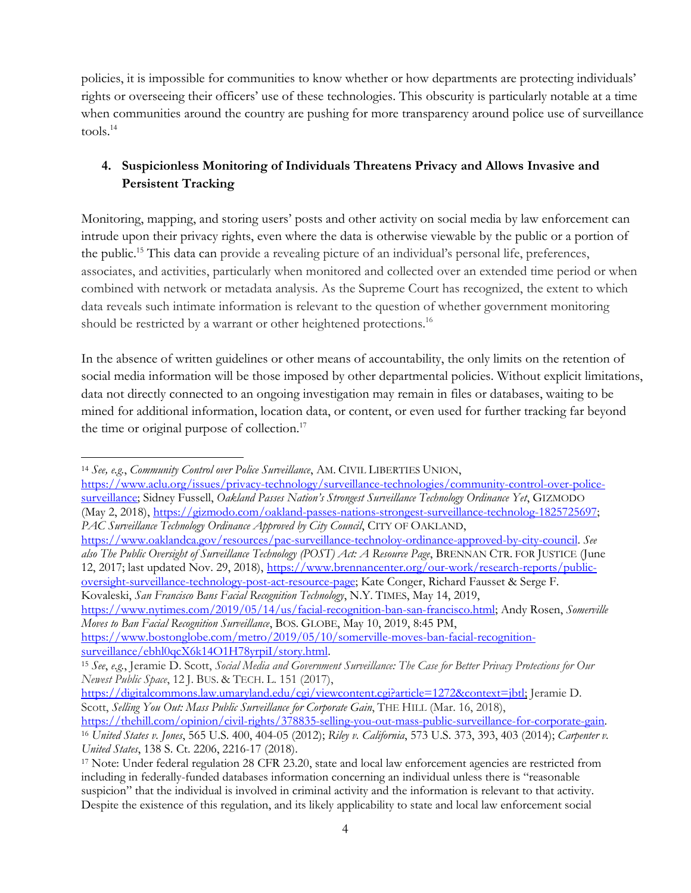policies, it is impossible for communities to know whether or how departments are protecting individuals' rights or overseeing their officers' use of these technologies. This obscurity is particularly notable at a time when communities around the country are pushing for more transparency around police use of surveillance tools.<sup>14</sup>

## **4. Suspicionless Monitoring of Individuals Threatens Privacy and Allows Invasive and Persistent Tracking**

Monitoring, mapping, and storing users' posts and other activity on social media by law enforcement can intrude upon their privacy rights, even where the data is otherwise viewable by the public or a portion of the public.<sup>15</sup> This data can provide a revealing picture of an individual's personal life, preferences, associates, and activities, particularly when monitored and collected over an extended time period or when combined with network or metadata analysis. As the Supreme Court has recognized, the extent to which data reveals such intimate information is relevant to the question of whether government monitoring should be restricted by a warrant or other heightened protections.<sup>16</sup>

In the absence of written guidelines or other means of accountability, the only limits on the retention of social media information will be those imposed by other departmental policies. Without explicit limitations, data not directly connected to an ongoing investigation may remain in files or databases, waiting to be mined for additional information, location data, or content, or even used for further tracking far beyond the time or original purpose of collection.<sup>17</sup>

[https://www.nytimes.com/2019/05/14/us/facial-recognition-ban-san-francisco.html;](https://www.nytimes.com/2019/05/14/us/facial-recognition-ban-san-francisco.html) Andy Rosen, *Somerville Moves to Ban Facial Recognition Surveillance*, BOS. GLOBE, May 10, 2019, 8:45 PM,

[https://www.bostonglobe.com/metro/2019/05/10/somerville-moves-ban-facial-recognition](https://www.bostonglobe.com/metro/2019/05/10/somerville-moves-ban-facial-recognition-surveillance/ebhl0qcX6k14O1H78yrpiI/story.html)[surveillance/ebhl0qcX6k14O1H78yrpiI/story.html.](https://www.bostonglobe.com/metro/2019/05/10/somerville-moves-ban-facial-recognition-surveillance/ebhl0qcX6k14O1H78yrpiI/story.html) 

<sup>14</sup> *See, e.g.*, *Community Control over Police Surveillance*, AM. CIVIL LIBERTIES UNION,

[https://www.aclu.org/issues/privacy-technology/surveillance-technologies/community-control-over-police](https://www.aclu.org/issues/privacy-technology/surveillance-technologies/community-control-over-police-surveillance)[surveillance;](https://www.aclu.org/issues/privacy-technology/surveillance-technologies/community-control-over-police-surveillance) Sidney Fussell, *Oakland Passes Nation's Strongest Surveillance Technology Ordinance Yet*, GIZMODO (May 2, 2018), [https://gizmodo.com/oakland-passes-nations-strongest-surveillance-technolog-1825725697;](https://gizmodo.com/oakland-passes-nations-strongest-surveillance-technolog-1825725697) *PAC Surveillance Technology Ordinance Approved by City Council*, CITY OF OAKLAND,

[https://www.oaklandca.gov/resources/pac-surveillance-technoloy-ordinance-approved-by-city-council.](https://www.oaklandca.gov/resources/pac-surveillance-technoloy-ordinance-approved-by-city-council) *See also The Public Oversight of Surveillance Technology (POST) Act: A Resource Page*, BRENNAN CTR. FOR JUSTICE (June 12, 2017; last updated Nov. 29, 2018), [https://www.brennancenter.org/our-work/research-reports/public](https://www.brennancenter.org/our-work/research-reports/public-oversight-surveillance-technology-post-act-resource-page)[oversight-surveillance-technology-post-act-resource-page;](https://www.brennancenter.org/our-work/research-reports/public-oversight-surveillance-technology-post-act-resource-page) Kate Conger, Richard Fausset & Serge F. Kovaleski, *San Francisco Bans Facial Recognition Technology*, N.Y. TIMES, May 14, 2019,

<sup>&</sup>lt;sup>15</sup> See, e.g., Jeramie D. Scott, Social Media and Government Surveillance: The Case for Better Privacy Protections for Our *Newest Public Space*, 12 J. BUS. & TECH. L. 151 (2017),

[https://digitalcommons.law.umaryland.edu/cgi/viewcontent.cgi?article=1272&context=jbtl;](https://digitalcommons.law.umaryland.edu/cgi/viewcontent.cgi?article=1272&context=jbtl) Jeramie D. Scott, *Selling You Out: Mass Public Surveillance for Corporate Gain*, THE HILL (Mar. 16, 2018),

[https://thehill.com/opinion/civil-rights/378835-selling-you-out-mass-public-surveillance-for-corporate-gain.](https://thehill.com/opinion/civil-rights/378835-selling-you-out-mass-public-surveillance-for-corporate-gain) <sup>16</sup> *United States v. Jones*, 565 U.S. 400, 404-05 (2012); *Riley v. California*, 573 U.S. 373, 393, 403 (2014); *Carpenter v. United States*, 138 S. Ct. 2206, 2216-17 (2018).

<sup>17</sup> Note: Under federal regulation 28 CFR 23.20, state and local law enforcement agencies are restricted from including in federally-funded databases information concerning an individual unless there is "reasonable suspicion" that the individual is involved in criminal activity and the information is relevant to that activity. Despite the existence of this regulation, and its likely applicability to state and local law enforcement social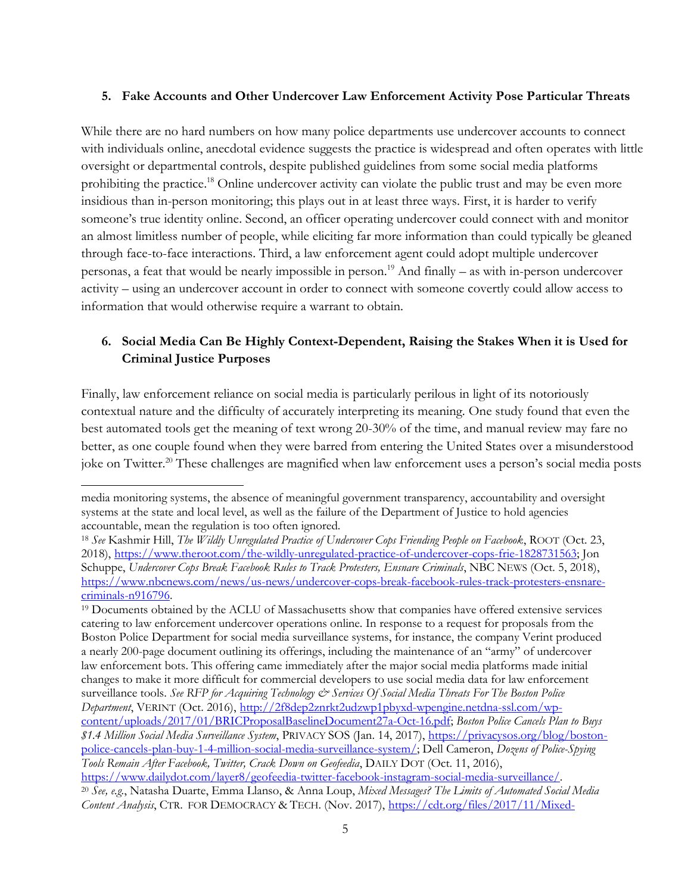#### **5. Fake Accounts and Other Undercover Law Enforcement Activity Pose Particular Threats**

While there are no hard numbers on how many police departments use undercover accounts to connect with individuals online, anecdotal evidence suggests the practice is widespread and often operates with little oversight or departmental controls, despite published guidelines from some social media platforms prohibiting the practice.<sup>18</sup> Online undercover activity can violate the public trust and may be even more insidious than in-person monitoring; this plays out in at least three ways. First, it is harder to verify someone's true identity online. Second, an officer operating undercover could connect with and monitor an almost limitless number of people, while eliciting far more information than could typically be gleaned through face-to-face interactions. Third, a law enforcement agent could adopt multiple undercover personas, a feat that would be nearly impossible in person.<sup>19</sup> And finally – as with in-person undercover activity – using an undercover account in order to connect with someone covertly could allow access to information that would otherwise require a warrant to obtain.

## **6. Social Media Can Be Highly Context-Dependent, Raising the Stakes When it is Used for Criminal Justice Purposes**

Finally, law enforcement reliance on social media is particularly perilous in light of its notoriously contextual nature and the difficulty of accurately interpreting its meaning. One study found that even the best automated tools get the meaning of text wrong 20-30% of the time, and manual review may fare no better, as one couple found when they were barred from entering the United States over a misunderstood joke on Twitter.<sup>20</sup> These challenges are magnified when law enforcement uses a person's social media posts

media monitoring systems, the absence of meaningful government transparency, accountability and oversight systems at the state and local level, as well as the failure of the Department of Justice to hold agencies accountable, mean the regulation is too often ignored.

<sup>18</sup> *See* Kashmir Hill, *The Wildly Unregulated Practice of Undercover Cops Friending People on Facebook*, ROOT (Oct. 23, 2018), [https://www.theroot.com/the-wildly-unregulated-practice-of-undercover-cops-frie-1828731563;](https://www.theroot.com/the-wildly-unregulated-practice-of-undercover-cops-frie-1828731563) Jon Schuppe, *Undercover Cops Break Facebook Rules to Track Protesters, Ensnare Criminals*, NBC NEWS (Oct. 5, 2018), [https://www.nbcnews.com/news/us-news/undercover-cops-break-facebook-rules-track-protesters-ensnare](https://www.nbcnews.com/news/us-news/undercover-cops-break-facebook-rules-track-protesters-ensnare-criminals-n916796)[criminals-n916796.](https://www.nbcnews.com/news/us-news/undercover-cops-break-facebook-rules-track-protesters-ensnare-criminals-n916796)

<sup>19</sup> Documents obtained by the ACLU of Massachusetts show that companies have offered extensive services catering to law enforcement undercover operations online. In response to a request for proposals from the Boston Police Department for social media surveillance systems, for instance, the company Verint produced a nearly 200-page document outlining its offerings, including the maintenance of an "army" of undercover law enforcement bots. This offering came immediately after the major social media platforms made initial changes to make it more difficult for commercial developers to use social media data for law enforcement surveillance tools. See RFP for Acquiring Technology & Services Of Social Media Threats For The Boston Police *Department*, VERINT (Oct. 2016), [http://2f8dep2znrkt2udzwp1pbyxd-wpengine.netdna-ssl.com/wp](http://2f8dep2znrkt2udzwp1pbyxd-wpengine.netdna-ssl.com/wp-content/uploads/2017/01/BRICProposalBaselineDocument27a-Oct-16.pdf)[content/uploads/2017/01/BRICProposalBaselineDocument27a-Oct-16.pdf;](http://2f8dep2znrkt2udzwp1pbyxd-wpengine.netdna-ssl.com/wp-content/uploads/2017/01/BRICProposalBaselineDocument27a-Oct-16.pdf) *Boston Police Cancels Plan to Buys \$1.4 Million Social Media Surveillance System*, PRIVACY SOS (Jan. 14, 2017), [https://privacysos.org/blog/boston](https://privacysos.org/blog/boston-police-cancels-plan-buy-1-4-million-social-media-surveillance-system/)[police-cancels-plan-buy-1-4-million-social-media-surveillance-system/;](https://privacysos.org/blog/boston-police-cancels-plan-buy-1-4-million-social-media-surveillance-system/) Dell Cameron, *Dozens of Police-Spying Tools Remain After Facebook, Twitter, Crack Down on Geofeedia*, DAILY DOT (Oct. 11, 2016), [https://www.dailydot.com/layer8/geofeedia-twitter-facebook-instagram-social-media-surveillance/.](https://www.dailydot.com/layer8/geofeedia-twitter-facebook-instagram-social-media-surveillance/)

<sup>20</sup> *See, e.g.*, Natasha Duarte, Emma Llanso, & Anna Loup, *Mixed Messages? The Limits of Automated Social Media Content Analysis*, CTR. FOR DEMOCRACY & TECH. (Nov. 2017), [https://cdt.org/files/2017/11/Mixed-](https://cdt.org/files/2017/11/Mixed-Messages-Paper.pdf)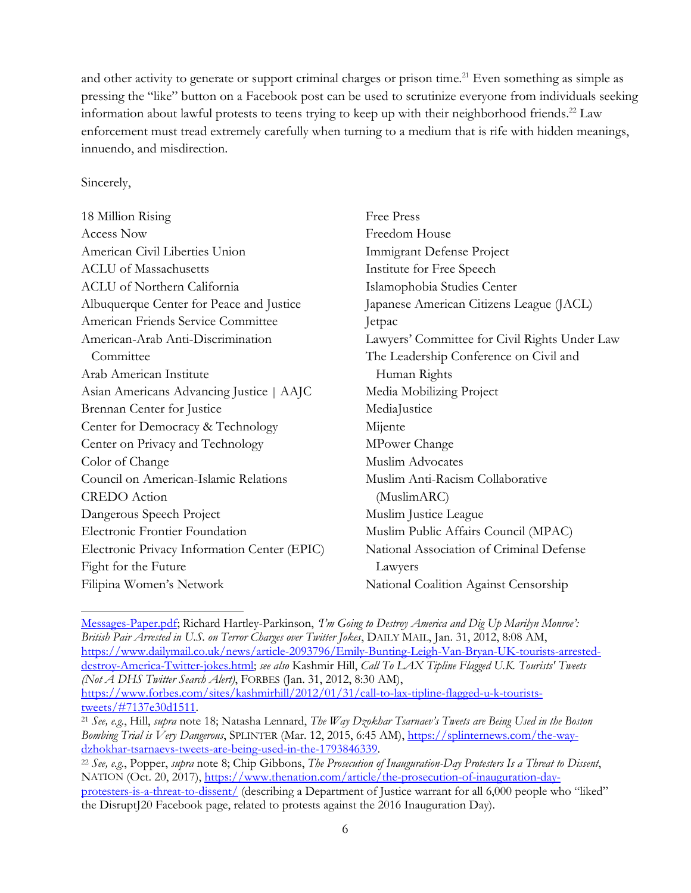and other activity to generate or support criminal charges or prison time.<sup>21</sup> Even something as simple as pressing the "like" button on a Facebook post can be used to scrutinize everyone from individuals seeking information about lawful protests to teens trying to keep up with their neighborhood friends. <sup>22</sup> Law enforcement must tread extremely carefully when turning to a medium that is rife with hidden meanings, innuendo, and misdirection.

#### Sincerely,

| <b>Free Press</b>                             |
|-----------------------------------------------|
| Freedom House                                 |
| Immigrant Defense Project                     |
| Institute for Free Speech                     |
| Islamophobia Studies Center                   |
| Japanese American Citizens League (JACL)      |
| Jetpac                                        |
| Lawyers' Committee for Civil Rights Under Law |
| The Leadership Conference on Civil and        |
| Human Rights                                  |
| Media Mobilizing Project                      |
| MediaJustice                                  |
| Mijente                                       |
| MPower Change                                 |
| <b>Muslim Advocates</b>                       |
| Muslim Anti-Racism Collaborative              |
| (MuslimARC)                                   |
| Muslim Justice League                         |
| Muslim Public Affairs Council (MPAC)          |
| National Association of Criminal Defense      |
| Lawyers                                       |
| National Coalition Against Censorship         |
|                                               |

[Messages-Paper.pdf;](https://cdt.org/files/2017/11/Mixed-Messages-Paper.pdf) Richard Hartley-Parkinson, *'I'm Going to Destroy America and Dig Up Marilyn Monroe': British Pair Arrested in U.S. on Terror Charges over Twitter Jokes*, DAILY MAIL, Jan. 31, 2012, 8:08 AM, [https://www.dailymail.co.uk/news/article-2093796/Emily-Bunting-Leigh-Van-Bryan-UK-tourists-arrested](https://www.dailymail.co.uk/news/article-2093796/Emily-Bunting-Leigh-Van-Bryan-UK-tourists-arrested-destroy-America-Twitter-jokes.html)[destroy-America-Twitter-jokes.html;](https://www.dailymail.co.uk/news/article-2093796/Emily-Bunting-Leigh-Van-Bryan-UK-tourists-arrested-destroy-America-Twitter-jokes.html) *see also* Kashmir Hill, *Call To LAX Tipline Flagged U.K. Tourists' Tweets (Not A DHS Twitter Search Alert)*, FORBES (Jan. 31, 2012, 8:30 AM), [https://www.forbes.com/sites/kashmirhill/2012/01/31/call-to-lax-tipline-flagged-u-k-tourists](https://www.forbes.com/sites/kashmirhill/2012/01/31/call-to-lax-tipline-flagged-u-k-tourists-tweets/#7137e30d1511)[tweets/#7137e30d1511.](https://www.forbes.com/sites/kashmirhill/2012/01/31/call-to-lax-tipline-flagged-u-k-tourists-tweets/#7137e30d1511) 

<sup>21</sup> *See, e.g.*, Hill, *supra* note 18; Natasha Lennard, *The Way Dzokhar Tsarnaev's Tweets are Being Used in the Boston Bombing Trial is Very Dangerous*, SPLINTER (Mar. 12, 2015, 6:45 AM), [https://splinternews.com/the-way](https://splinternews.com/the-way-dzhokhar-tsarnaevs-tweets-are-being-used-in-the-1793846339)[dzhokhar-tsarnaevs-tweets-are-being-used-in-the-1793846339.](https://splinternews.com/the-way-dzhokhar-tsarnaevs-tweets-are-being-used-in-the-1793846339)

<sup>22</sup> *See, e.g.*, Popper, *supra* note 8; Chip Gibbons, *The Prosecution of Inauguration-Day Protesters Is a Threat to Dissent*, NATION (Oct. 20, 2017), [https://www.thenation.com/article/the-prosecution-of-inauguration-day](https://www.thenation.com/article/the-prosecution-of-inauguration-day-protesters-is-a-threat-to-dissent/)[protesters-is-a-threat-to-dissent/](https://www.thenation.com/article/the-prosecution-of-inauguration-day-protesters-is-a-threat-to-dissent/) (describing a Department of Justice warrant for all 6,000 people who "liked" the DisruptJ20 Facebook page, related to protests against the 2016 Inauguration Day).